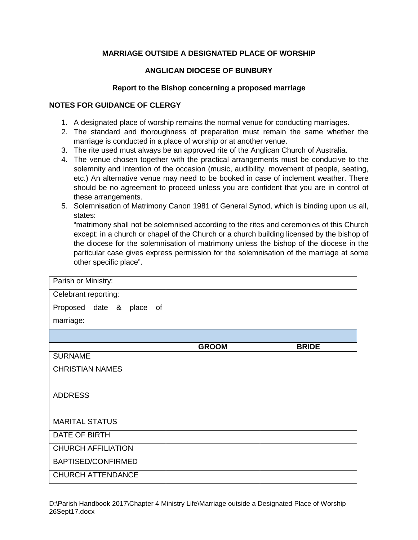## **MARRIAGE OUTSIDE A DESIGNATED PLACE OF WORSHIP**

## **ANGLICAN DIOCESE OF BUNBURY**

## **Report to the Bishop concerning a proposed marriage**

## **NOTES FOR GUIDANCE OF CLERGY**

- 1. A designated place of worship remains the normal venue for conducting marriages.
- 2. The standard and thoroughness of preparation must remain the same whether the marriage is conducted in a place of worship or at another venue.
- 3. The rite used must always be an approved rite of the Anglican Church of Australia.
- 4. The venue chosen together with the practical arrangements must be conducive to the solemnity and intention of the occasion (music, audibility, movement of people, seating, etc.) An alternative venue may need to be booked in case of inclement weather. There should be no agreement to proceed unless you are confident that you are in control of these arrangements.
- 5. Solemnisation of Matrimony Canon 1981 of General Synod, which is binding upon us all, states:

"matrimony shall not be solemnised according to the rites and ceremonies of this Church except: in a church or chapel of the Church or a church building licensed by the bishop of the diocese for the solemnisation of matrimony unless the bishop of the diocese in the particular case gives express permission for the solemnisation of the marriage at some other specific place".

| Parish or Ministry:            |              |              |
|--------------------------------|--------------|--------------|
| Celebrant reporting:           |              |              |
| of<br>date & place<br>Proposed |              |              |
| marriage:                      |              |              |
|                                |              |              |
|                                | <b>GROOM</b> | <b>BRIDE</b> |
| <b>SURNAME</b>                 |              |              |
| <b>CHRISTIAN NAMES</b>         |              |              |
|                                |              |              |
| <b>ADDRESS</b>                 |              |              |
|                                |              |              |
| <b>MARITAL STATUS</b>          |              |              |
| DATE OF BIRTH                  |              |              |
| <b>CHURCH AFFILIATION</b>      |              |              |
| BAPTISED/CONFIRMED             |              |              |
| <b>CHURCH ATTENDANCE</b>       |              |              |